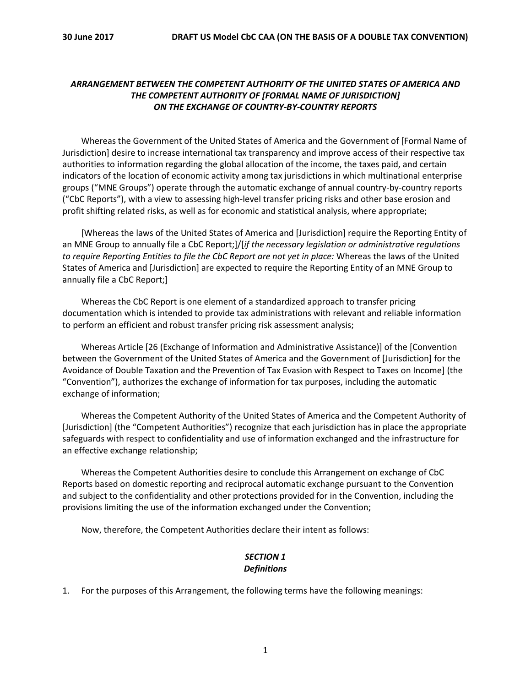## *ARRANGEMENT BETWEEN THE COMPETENT AUTHORITY OF THE UNITED STATES OF AMERICA AND THE COMPETENT AUTHORITY OF [FORMAL NAME OF JURISDICTION] ON THE EXCHANGE OF COUNTRY-BY-COUNTRY REPORTS*

Whereas the Government of the United States of America and the Government of [Formal Name of Jurisdiction] desire to increase international tax transparency and improve access of their respective tax authorities to information regarding the global allocation of the income, the taxes paid, and certain indicators of the location of economic activity among tax jurisdictions in which multinational enterprise groups ("MNE Groups") operate through the automatic exchange of annual country-by-country reports ("CbC Reports"), with a view to assessing high-level transfer pricing risks and other base erosion and profit shifting related risks, as well as for economic and statistical analysis, where appropriate;

[Whereas the laws of the United States of America and [Jurisdiction] require the Reporting Entity of an MNE Group to annually file a CbC Report;]/[*if the necessary legislation or administrative regulations to require Reporting Entities to file the CbC Report are not yet in place:* Whereas the laws of the United States of America and [Jurisdiction] are expected to require the Reporting Entity of an MNE Group to annually file a CbC Report;]

Whereas the CbC Report is one element of a standardized approach to transfer pricing documentation which is intended to provide tax administrations with relevant and reliable information to perform an efficient and robust transfer pricing risk assessment analysis;

Whereas Article [26 (Exchange of Information and Administrative Assistance)] of the [Convention between the Government of the United States of America and the Government of [Jurisdiction] for the Avoidance of Double Taxation and the Prevention of Tax Evasion with Respect to Taxes on Income] (the "Convention"), authorizes the exchange of information for tax purposes, including the automatic exchange of information;

Whereas the Competent Authority of the United States of America and the Competent Authority of [Jurisdiction] (the "Competent Authorities") recognize that each jurisdiction has in place the appropriate safeguards with respect to confidentiality and use of information exchanged and the infrastructure for an effective exchange relationship;

Whereas the Competent Authorities desire to conclude this Arrangement on exchange of CbC Reports based on domestic reporting and reciprocal automatic exchange pursuant to the Convention and subject to the confidentiality and other protections provided for in the Convention, including the provisions limiting the use of the information exchanged under the Convention;

Now, therefore, the Competent Authorities declare their intent as follows:

## *SECTION 1 Definitions*

1. For the purposes of this Arrangement, the following terms have the following meanings: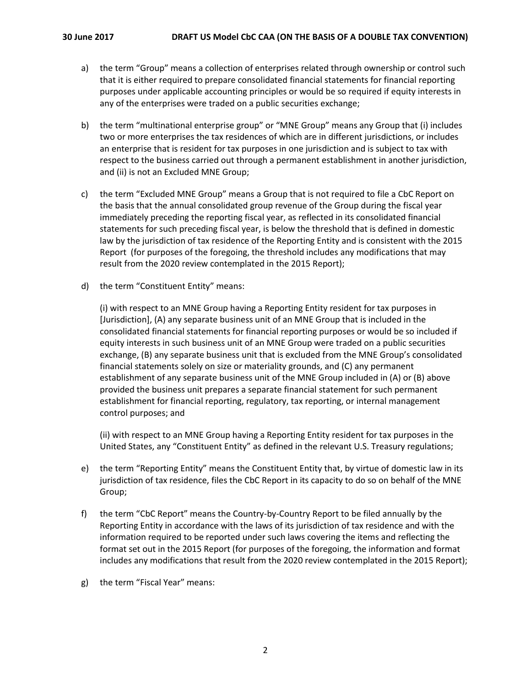- a) the term "Group" means a collection of enterprises related through ownership or control such that it is either required to prepare consolidated financial statements for financial reporting purposes under applicable accounting principles or would be so required if equity interests in any of the enterprises were traded on a public securities exchange;
- b) the term "multinational enterprise group" or "MNE Group" means any Group that (i) includes two or more enterprises the tax residences of which are in different jurisdictions, or includes an enterprise that is resident for tax purposes in one jurisdiction and is subject to tax with respect to the business carried out through a permanent establishment in another jurisdiction, and (ii) is not an Excluded MNE Group;
- c) the term "Excluded MNE Group" means a Group that is not required to file a CbC Report on the basis that the annual consolidated group revenue of the Group during the fiscal year immediately preceding the reporting fiscal year, as reflected in its consolidated financial statements for such preceding fiscal year, is below the threshold that is defined in domestic law by the jurisdiction of tax residence of the Reporting Entity and is consistent with the 2015 Report (for purposes of the foregoing, the threshold includes any modifications that may result from the 2020 review contemplated in the 2015 Report);
- d) the term "Constituent Entity" means:

(i) with respect to an MNE Group having a Reporting Entity resident for tax purposes in [Jurisdiction], (A) any separate business unit of an MNE Group that is included in the consolidated financial statements for financial reporting purposes or would be so included if equity interests in such business unit of an MNE Group were traded on a public securities exchange, (B) any separate business unit that is excluded from the MNE Group's consolidated financial statements solely on size or materiality grounds, and (C) any permanent establishment of any separate business unit of the MNE Group included in (A) or (B) above provided the business unit prepares a separate financial statement for such permanent establishment for financial reporting, regulatory, tax reporting, or internal management control purposes; and

(ii) with respect to an MNE Group having a Reporting Entity resident for tax purposes in the United States, any "Constituent Entity" as defined in the relevant U.S. Treasury regulations;

- e) the term "Reporting Entity" means the Constituent Entity that, by virtue of domestic law in its jurisdiction of tax residence, files the CbC Report in its capacity to do so on behalf of the MNE Group;
- f) the term "CbC Report" means the Country-by-Country Report to be filed annually by the Reporting Entity in accordance with the laws of its jurisdiction of tax residence and with the information required to be reported under such laws covering the items and reflecting the format set out in the 2015 Report (for purposes of the foregoing, the information and format includes any modifications that result from the 2020 review contemplated in the 2015 Report);
- g) the term "Fiscal Year" means: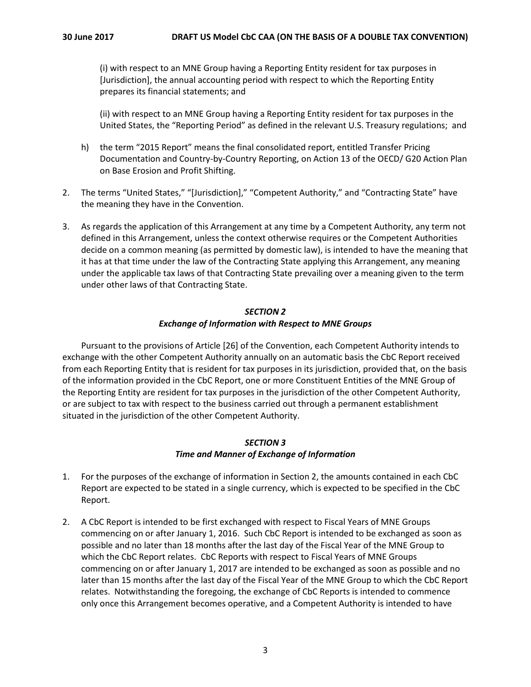(i) with respect to an MNE Group having a Reporting Entity resident for tax purposes in [Jurisdiction], the annual accounting period with respect to which the Reporting Entity prepares its financial statements; and

(ii) with respect to an MNE Group having a Reporting Entity resident for tax purposes in the United States, the "Reporting Period" as defined in the relevant U.S. Treasury regulations; and

- h) the term "2015 Report" means the final consolidated report, entitled Transfer Pricing Documentation and Country-by-Country Reporting, on Action 13 of the OECD/ G20 Action Plan on Base Erosion and Profit Shifting.
- 2. The terms "United States," "[Jurisdiction]," "Competent Authority," and "Contracting State" have the meaning they have in the Convention.
- 3. As regards the application of this Arrangement at any time by a Competent Authority, any term not defined in this Arrangement, unless the context otherwise requires or the Competent Authorities decide on a common meaning (as permitted by domestic law), is intended to have the meaning that it has at that time under the law of the Contracting State applying this Arrangement, any meaning under the applicable tax laws of that Contracting State prevailing over a meaning given to the term under other laws of that Contracting State.

#### *SECTION 2 Exchange of Information with Respect to MNE Groups*

Pursuant to the provisions of Article [26] of the Convention, each Competent Authority intends to exchange with the other Competent Authority annually on an automatic basis the CbC Report received from each Reporting Entity that is resident for tax purposes in its jurisdiction, provided that, on the basis of the information provided in the CbC Report, one or more Constituent Entities of the MNE Group of the Reporting Entity are resident for tax purposes in the jurisdiction of the other Competent Authority, or are subject to tax with respect to the business carried out through a permanent establishment situated in the jurisdiction of the other Competent Authority.

### *SECTION 3 Time and Manner of Exchange of Information*

- 1. For the purposes of the exchange of information in Section 2, the amounts contained in each CbC Report are expected to be stated in a single currency, which is expected to be specified in the CbC Report.
- 2. A CbC Report is intended to be first exchanged with respect to Fiscal Years of MNE Groups commencing on or after January 1, 2016. Such CbC Report is intended to be exchanged as soon as possible and no later than 18 months after the last day of the Fiscal Year of the MNE Group to which the CbC Report relates. CbC Reports with respect to Fiscal Years of MNE Groups commencing on or after January 1, 2017 are intended to be exchanged as soon as possible and no later than 15 months after the last day of the Fiscal Year of the MNE Group to which the CbC Report relates. Notwithstanding the foregoing, the exchange of CbC Reports is intended to commence only once this Arrangement becomes operative, and a Competent Authority is intended to have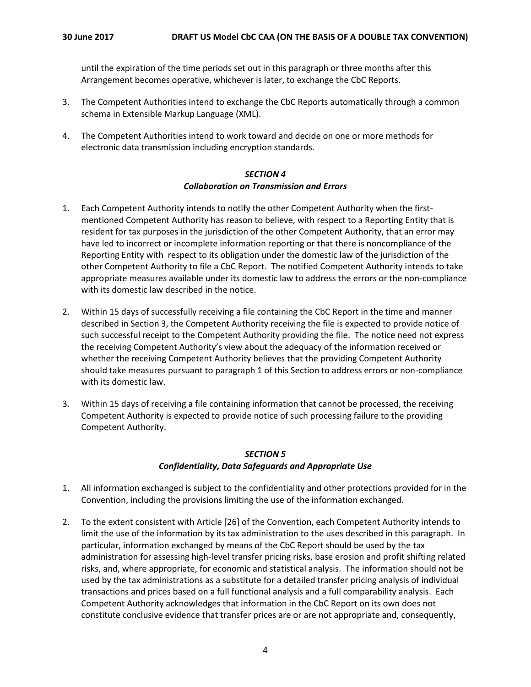until the expiration of the time periods set out in this paragraph or three months after this Arrangement becomes operative, whichever is later, to exchange the CbC Reports.

- 3. The Competent Authorities intend to exchange the CbC Reports automatically through a common schema in Extensible Markup Language (XML).
- 4. The Competent Authorities intend to work toward and decide on one or more methods for electronic data transmission including encryption standards.

#### *SECTION 4 Collaboration on Transmission and Errors*

- 1. Each Competent Authority intends to notify the other Competent Authority when the firstmentioned Competent Authority has reason to believe, with respect to a Reporting Entity that is resident for tax purposes in the jurisdiction of the other Competent Authority, that an error may have led to incorrect or incomplete information reporting or that there is noncompliance of the Reporting Entity with respect to its obligation under the domestic law of the jurisdiction of the other Competent Authority to file a CbC Report. The notified Competent Authority intends to take appropriate measures available under its domestic law to address the errors or the non-compliance with its domestic law described in the notice.
- 2. Within 15 days of successfully receiving a file containing the CbC Report in the time and manner described in Section 3, the Competent Authority receiving the file is expected to provide notice of such successful receipt to the Competent Authority providing the file. The notice need not express the receiving Competent Authority's view about the adequacy of the information received or whether the receiving Competent Authority believes that the providing Competent Authority should take measures pursuant to paragraph 1 of this Section to address errors or non-compliance with its domestic law.
- 3. Within 15 days of receiving a file containing information that cannot be processed, the receiving Competent Authority is expected to provide notice of such processing failure to the providing Competent Authority.

### *SECTION 5 Confidentiality, Data Safeguards and Appropriate Use*

- 1. All information exchanged is subject to the confidentiality and other protections provided for in the Convention, including the provisions limiting the use of the information exchanged.
- 2. To the extent consistent with Article [26] of the Convention, each Competent Authority intends to limit the use of the information by its tax administration to the uses described in this paragraph. In particular, information exchanged by means of the CbC Report should be used by the tax administration for assessing high-level transfer pricing risks, base erosion and profit shifting related risks, and, where appropriate, for economic and statistical analysis. The information should not be used by the tax administrations as a substitute for a detailed transfer pricing analysis of individual transactions and prices based on a full functional analysis and a full comparability analysis. Each Competent Authority acknowledges that information in the CbC Report on its own does not constitute conclusive evidence that transfer prices are or are not appropriate and, consequently,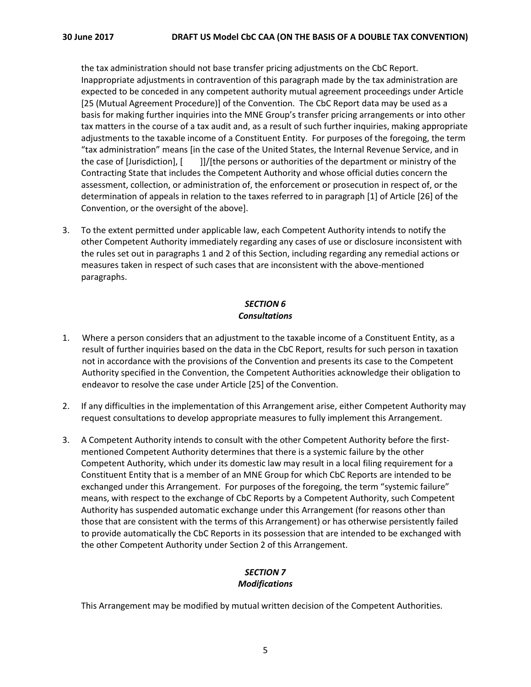the tax administration should not base transfer pricing adjustments on the CbC Report. Inappropriate adjustments in contravention of this paragraph made by the tax administration are expected to be conceded in any competent authority mutual agreement proceedings under Article [25 (Mutual Agreement Procedure)] of the Convention. The CbC Report data may be used as a basis for making further inquiries into the MNE Group's transfer pricing arrangements or into other tax matters in the course of a tax audit and, as a result of such further inquiries, making appropriate adjustments to the taxable income of a Constituent Entity. For purposes of the foregoing, the term "tax administration" means [in the case of the United States, the Internal Revenue Service, and in the case of [Jurisdiction], [ ]]/[the persons or authorities of the department or ministry of the Contracting State that includes the Competent Authority and whose official duties concern the assessment, collection, or administration of, the enforcement or prosecution in respect of, or the determination of appeals in relation to the taxes referred to in paragraph [1] of Article [26] of the Convention, or the oversight of the above].

3. To the extent permitted under applicable law, each Competent Authority intends to notify the other Competent Authority immediately regarding any cases of use or disclosure inconsistent with the rules set out in paragraphs 1 and 2 of this Section, including regarding any remedial actions or measures taken in respect of such cases that are inconsistent with the above-mentioned paragraphs.

## *SECTION 6 Consultations*

- 1. Where a person considers that an adjustment to the taxable income of a Constituent Entity, as a result of further inquiries based on the data in the CbC Report, results for such person in taxation not in accordance with the provisions of the Convention and presents its case to the Competent Authority specified in the Convention, the Competent Authorities acknowledge their obligation to endeavor to resolve the case under Article [25] of the Convention.
- 2. If any difficulties in the implementation of this Arrangement arise, either Competent Authority may request consultations to develop appropriate measures to fully implement this Arrangement.
- 3. A Competent Authority intends to consult with the other Competent Authority before the firstmentioned Competent Authority determines that there is a systemic failure by the other Competent Authority, which under its domestic law may result in a local filing requirement for a Constituent Entity that is a member of an MNE Group for which CbC Reports are intended to be exchanged under this Arrangement. For purposes of the foregoing, the term "systemic failure" means, with respect to the exchange of CbC Reports by a Competent Authority, such Competent Authority has suspended automatic exchange under this Arrangement (for reasons other than those that are consistent with the terms of this Arrangement) or has otherwise persistently failed to provide automatically the CbC Reports in its possession that are intended to be exchanged with the other Competent Authority under Section 2 of this Arrangement.

#### *SECTION 7 Modifications*

This Arrangement may be modified by mutual written decision of the Competent Authorities.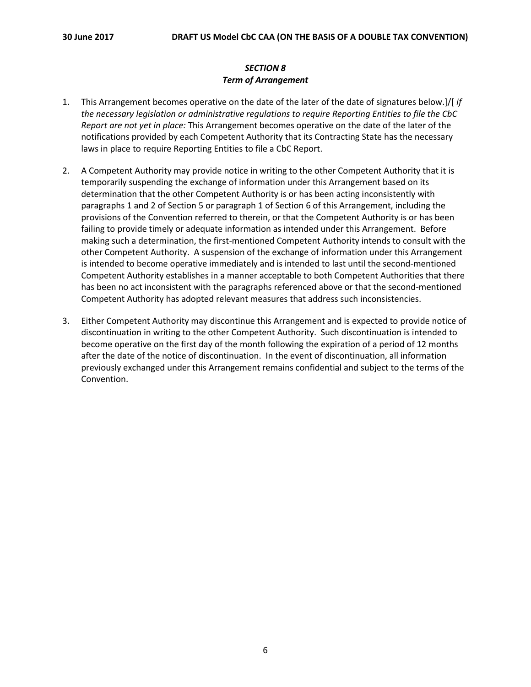# *SECTION 8 Term of Arrangement*

- 1. This Arrangement becomes operative on the date of the later of the date of signatures below.]/[ *if the necessary legislation or administrative regulations to require Reporting Entities to file the CbC Report are not yet in place:* This Arrangement becomes operative on the date of the later of the notifications provided by each Competent Authority that its Contracting State has the necessary laws in place to require Reporting Entities to file a CbC Report.
- 2. A Competent Authority may provide notice in writing to the other Competent Authority that it is temporarily suspending the exchange of information under this Arrangement based on its determination that the other Competent Authority is or has been acting inconsistently with paragraphs 1 and 2 of Section 5 or paragraph 1 of Section 6 of this Arrangement, including the provisions of the Convention referred to therein, or that the Competent Authority is or has been failing to provide timely or adequate information as intended under this Arrangement. Before making such a determination, the first-mentioned Competent Authority intends to consult with the other Competent Authority. A suspension of the exchange of information under this Arrangement is intended to become operative immediately and is intended to last until the second-mentioned Competent Authority establishes in a manner acceptable to both Competent Authorities that there has been no act inconsistent with the paragraphs referenced above or that the second-mentioned Competent Authority has adopted relevant measures that address such inconsistencies.
- 3. Either Competent Authority may discontinue this Arrangement and is expected to provide notice of discontinuation in writing to the other Competent Authority. Such discontinuation is intended to become operative on the first day of the month following the expiration of a period of 12 months after the date of the notice of discontinuation. In the event of discontinuation, all information previously exchanged under this Arrangement remains confidential and subject to the terms of the Convention.